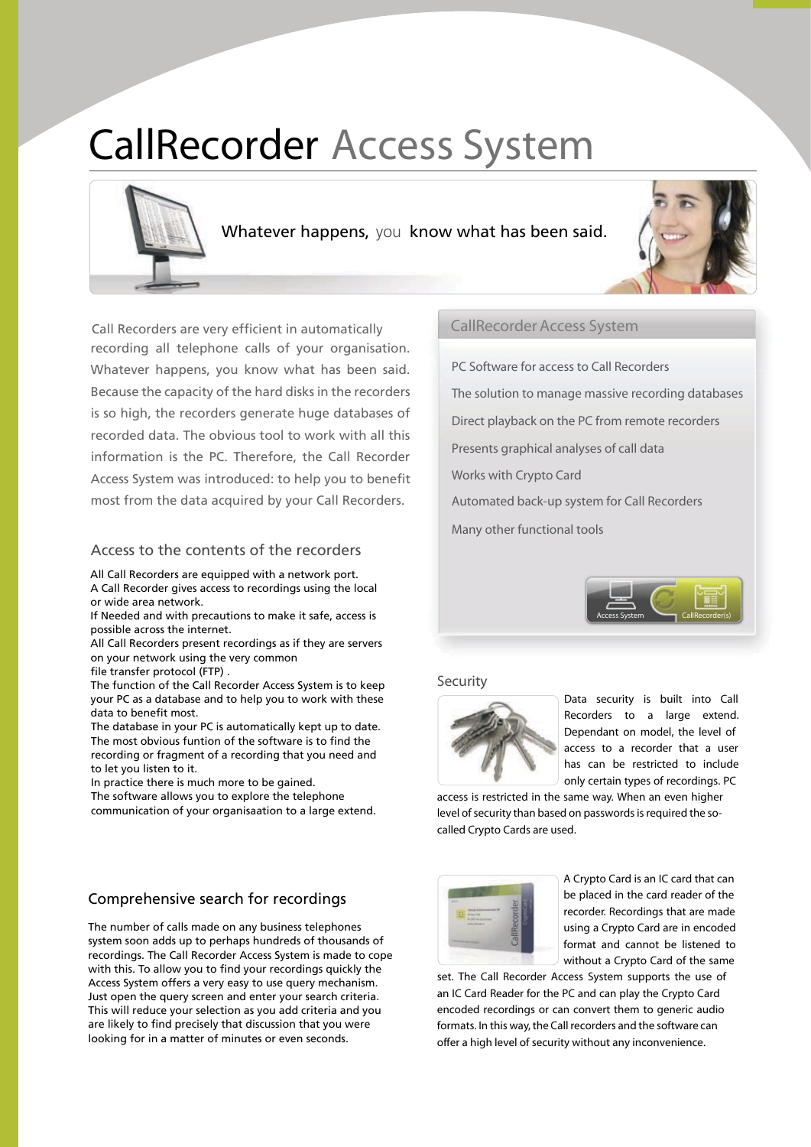# **CallRecorder Access System**



Whatever happens, you know what has been said.



Call Recorders are very efficient in automatically recording all telephone calls of your organisation. Whatever happens, you know what has been said. Because the capacity of the hard disks in the recorders is so high, the recorders generate huge databases of recorded data. The obvious tool to work with all this information is the PC. Therefore, the Call Recorder Access System was introduced: to help you to benefit most from the data acquired by your Call Recorders.

#### Access to the contents of the recorders

All Call Recorders are equipped with a network port. A Call Recorder gives access to recordings using the local or wide area network

If Needed and with precautions to make it safe, access is possible across the internet.

All Call Recorders present recordings as if they are servers on your network using the very common

file transfer protocol (FTP).

The function of the Call Recorder Access System is to keep your PC as a database and to help you to work with these data to benefit most.

The database in your PC is automatically kept up to date. The most obvious funtion of the software is to find the recording or fragment of a recording that you need and to let you listen to it.

In practice there is much more to be gained.

The software allows you to explore the telephone communication of your organisaation to a large extend.

#### Comprehensive search for recordings

The number of calls made on any business telephones system soon adds up to perhaps hundreds of thousands of recordings. The Call Recorder Access System is made to cope with this. To allow you to find your recordings quickly the Access System offers a very easy to use query mechanism. Just open the query screen and enter your search criteria. This will reduce your selection as you add criteria and you are likely to find precisely that discussion that you were looking for in a matter of minutes or even seconds.

#### **CallRecorder Access System**

PC Software for access to Call Recorders The solution to manage massive recording databases Direct playback on the PC from remote recorders Presents graphical analyses of call data Works with Crypto Card Automated back-up system for Call Recorders Many other functional tools



#### Security



Data security is built into Call Recorders to a large extend. Dependant on model, the level of access to a recorder that a user has can be restricted to include only certain types of recordings. PC

access is restricted in the same way. When an even higher level of security than based on passwords is required the socalled Crypto Cards are used.

| - - |   |
|-----|---|
|     |   |
|     |   |
|     | ٠ |
|     |   |
|     |   |

A Crypto Card is an IC card that can be placed in the card reader of the recorder. Recordings that are made using a Crypto Card are in encoded format and cannot be listened to without a Crypto Card of the same

set. The Call Recorder Access System supports the use of an IC Card Reader for the PC and can play the Crypto Card encoded recordings or can convert them to generic audio formats. In this way, the Call recorders and the software can offer a high level of security without any inconvenience.